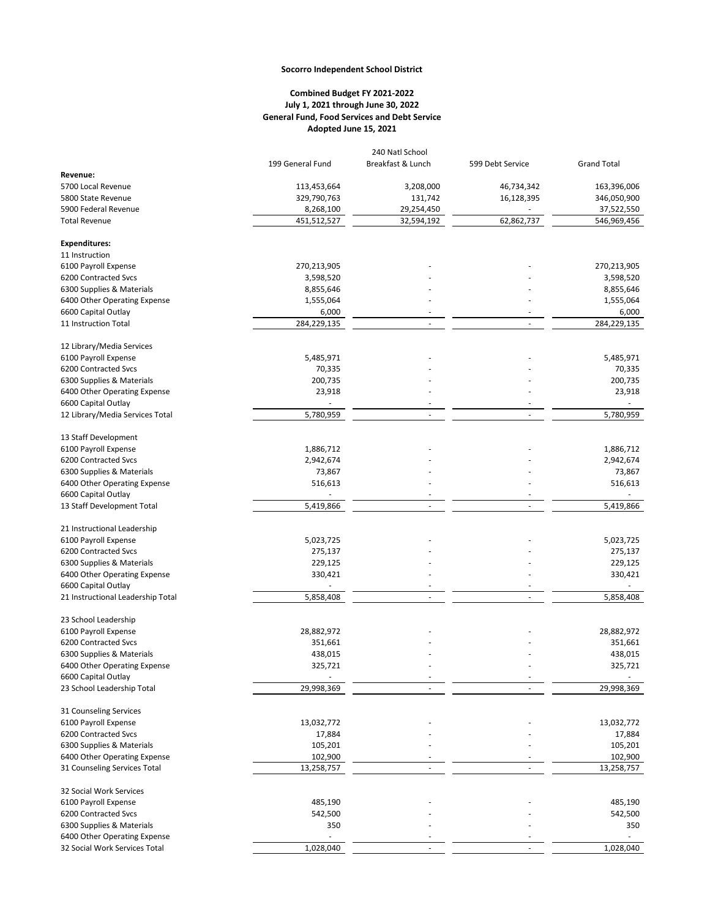## **Socorro Independent School District**

## **Combined Budget FY 2021-2022 July 1, 2021 through June 30, 2022 General Fund, Food Services and Debt Service Adopted June 15, 2021**

|                                                          | 240 Natl School      |                   |                  |                      |  |  |
|----------------------------------------------------------|----------------------|-------------------|------------------|----------------------|--|--|
|                                                          | 199 General Fund     | Breakfast & Lunch | 599 Debt Service | <b>Grand Total</b>   |  |  |
| Revenue:                                                 |                      |                   |                  |                      |  |  |
| 5700 Local Revenue                                       | 113,453,664          | 3,208,000         | 46,734,342       | 163,396,006          |  |  |
| 5800 State Revenue                                       | 329,790,763          | 131,742           | 16,128,395       | 346,050,900          |  |  |
| 5900 Federal Revenue                                     |                      | 29,254,450        |                  |                      |  |  |
| <b>Total Revenue</b>                                     | 8,268,100            |                   |                  | 37,522,550           |  |  |
|                                                          | 451,512,527          | 32,594,192        | 62,862,737       | 546,969,456          |  |  |
| <b>Expenditures:</b>                                     |                      |                   |                  |                      |  |  |
| 11 Instruction                                           |                      |                   |                  |                      |  |  |
| 6100 Payroll Expense                                     | 270,213,905          |                   |                  | 270,213,905          |  |  |
| 6200 Contracted Svcs                                     | 3,598,520            |                   |                  | 3,598,520            |  |  |
| 6300 Supplies & Materials                                | 8,855,646            |                   |                  | 8,855,646            |  |  |
|                                                          |                      |                   |                  |                      |  |  |
| 6400 Other Operating Expense                             | 1,555,064            |                   |                  | 1,555,064            |  |  |
| 6600 Capital Outlay<br>11 Instruction Total              | 6,000<br>284,229,135 |                   |                  | 6,000<br>284,229,135 |  |  |
|                                                          |                      |                   |                  |                      |  |  |
| 12 Library/Media Services                                |                      |                   |                  |                      |  |  |
| 6100 Payroll Expense                                     | 5,485,971            |                   |                  | 5,485,971            |  |  |
| 6200 Contracted Svcs                                     | 70,335               |                   |                  | 70,335               |  |  |
| 6300 Supplies & Materials                                | 200,735              |                   |                  | 200,735              |  |  |
|                                                          |                      |                   |                  |                      |  |  |
| 6400 Other Operating Expense                             | 23,918               |                   |                  | 23,918               |  |  |
| 6600 Capital Outlay                                      |                      |                   |                  |                      |  |  |
| 12 Library/Media Services Total                          | 5,780,959            |                   |                  | 5,780,959            |  |  |
| 13 Staff Development                                     |                      |                   |                  |                      |  |  |
| 6100 Payroll Expense                                     | 1,886,712            |                   |                  | 1,886,712            |  |  |
| 6200 Contracted Svcs                                     |                      |                   |                  |                      |  |  |
|                                                          | 2,942,674            |                   |                  | 2,942,674            |  |  |
| 6300 Supplies & Materials                                | 73,867               |                   |                  | 73,867               |  |  |
| 6400 Other Operating Expense                             | 516,613              |                   |                  | 516,613              |  |  |
| 6600 Capital Outlay                                      |                      | $\sim$            | $\sim$           |                      |  |  |
| 13 Staff Development Total                               | 5,419,866            |                   |                  | 5,419,866            |  |  |
|                                                          |                      |                   |                  |                      |  |  |
| 21 Instructional Leadership                              |                      |                   |                  |                      |  |  |
| 6100 Payroll Expense                                     | 5,023,725            |                   |                  | 5,023,725            |  |  |
| 6200 Contracted Svcs                                     | 275,137              |                   |                  | 275,137              |  |  |
| 6300 Supplies & Materials                                | 229,125              |                   |                  | 229,125              |  |  |
| 6400 Other Operating Expense                             | 330,421              |                   |                  | 330,421              |  |  |
| 6600 Capital Outlay<br>21 Instructional Leadership Total |                      | ٠                 | ٠<br>ä,          |                      |  |  |
|                                                          | 5,858,408            |                   |                  | 5,858,408            |  |  |
| 23 School Leadership                                     |                      |                   |                  |                      |  |  |
| 6100 Payroll Expense                                     | 28,882,972           |                   |                  | 28,882,972           |  |  |
| 6200 Contracted Svcs                                     | 351,661              |                   |                  | 351,661              |  |  |
| 6300 Supplies & Materials                                | 438,015              |                   |                  | 438,015              |  |  |
|                                                          |                      |                   |                  |                      |  |  |
| 6400 Other Operating Expense                             | 325,721              |                   |                  | 325,721              |  |  |
| 6600 Capital Outlay<br>23 School Leadership Total        | 29,998,369           |                   |                  | 29,998,369           |  |  |
|                                                          |                      |                   |                  |                      |  |  |
| 31 Counseling Services                                   |                      |                   |                  |                      |  |  |
| 6100 Payroll Expense                                     | 13,032,772           |                   |                  | 13,032,772           |  |  |
| 6200 Contracted Svcs                                     | 17,884               |                   |                  | 17,884               |  |  |
| 6300 Supplies & Materials                                | 105,201              |                   |                  | 105,201              |  |  |
|                                                          |                      |                   |                  |                      |  |  |
| 6400 Other Operating Expense                             | 102,900              |                   |                  | 102,900              |  |  |
| 31 Counseling Services Total                             | 13,258,757           |                   |                  | 13,258,757           |  |  |
| 32 Social Work Services                                  |                      |                   |                  |                      |  |  |
| 6100 Payroll Expense                                     | 485,190              |                   |                  | 485,190              |  |  |
| 6200 Contracted Svcs                                     | 542,500              |                   |                  | 542,500              |  |  |
| 6300 Supplies & Materials                                | 350                  |                   |                  | 350                  |  |  |
| 6400 Other Operating Expense                             | ä,                   |                   |                  | ÷.                   |  |  |
|                                                          | 1,028,040            |                   |                  | 1,028,040            |  |  |
| 32 Social Work Services Total                            |                      |                   |                  |                      |  |  |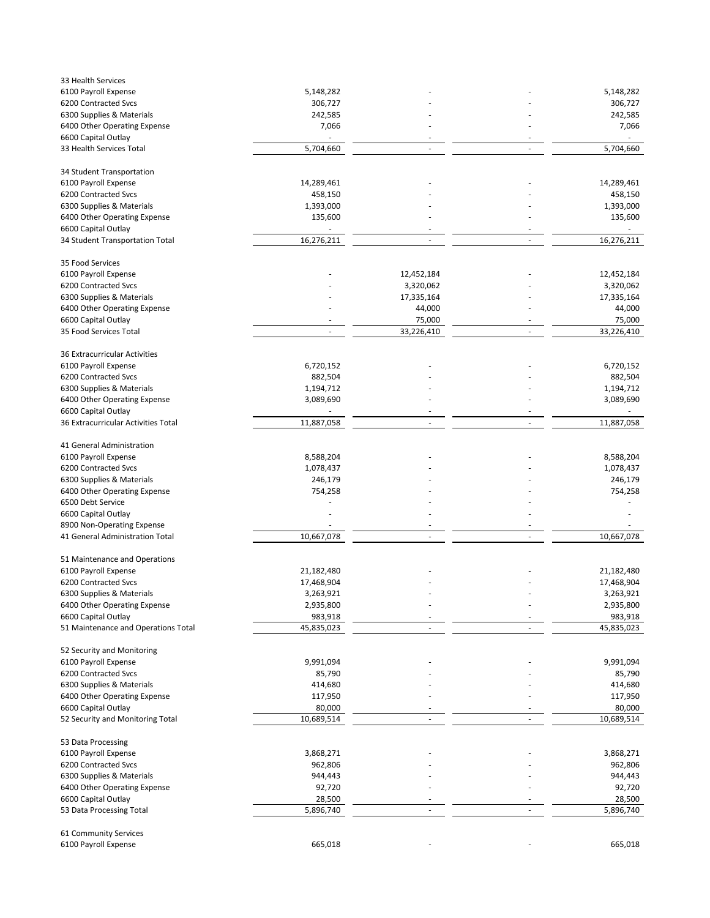| 33 Health Services                                     |                          |            |                          |            |
|--------------------------------------------------------|--------------------------|------------|--------------------------|------------|
| 6100 Payroll Expense                                   | 5,148,282                |            |                          | 5,148,282  |
| 6200 Contracted Svcs                                   | 306,727                  |            |                          | 306,727    |
| 6300 Supplies & Materials                              | 242,585                  |            |                          | 242,585    |
| 6400 Other Operating Expense                           | 7,066                    |            |                          | 7,066      |
| 6600 Capital Outlay                                    |                          |            |                          |            |
| 33 Health Services Total                               | 5,704,660                | $\sim$     | ÷,                       | 5,704,660  |
| 34 Student Transportation                              |                          |            |                          |            |
| 6100 Payroll Expense                                   | 14,289,461               |            |                          | 14,289,461 |
| 6200 Contracted Svcs                                   | 458,150                  |            |                          | 458,150    |
| 6300 Supplies & Materials                              | 1,393,000                |            |                          | 1,393,000  |
|                                                        |                          |            |                          |            |
| 6400 Other Operating Expense                           | 135,600                  |            |                          | 135,600    |
| 6600 Capital Outlay<br>34 Student Transportation Total | 16,276,211               | ÷,         | $\overline{\phantom{a}}$ | 16,276,211 |
|                                                        |                          |            |                          |            |
| 35 Food Services                                       |                          |            |                          |            |
| 6100 Payroll Expense                                   |                          | 12,452,184 |                          | 12,452,184 |
| 6200 Contracted Svcs                                   |                          | 3,320,062  |                          | 3,320,062  |
| 6300 Supplies & Materials                              |                          | 17,335,164 |                          | 17,335,164 |
| 6400 Other Operating Expense                           |                          | 44,000     |                          | 44,000     |
| 6600 Capital Outlay                                    |                          | 75,000     |                          | 75,000     |
| 35 Food Services Total                                 | $\overline{\phantom{a}}$ | 33,226,410 | $\sim$                   | 33,226,410 |
| 36 Extracurricular Activities                          |                          |            |                          |            |
| 6100 Payroll Expense                                   | 6,720,152                |            |                          | 6,720,152  |
| 6200 Contracted Svcs                                   | 882,504                  |            |                          | 882,504    |
| 6300 Supplies & Materials                              | 1,194,712                |            |                          | 1,194,712  |
| 6400 Other Operating Expense                           | 3,089,690                |            |                          | 3,089,690  |
| 6600 Capital Outlay                                    |                          |            |                          |            |
| 36 Extracurricular Activities Total                    | 11,887,058               | ä,         | $\blacksquare$           | 11,887,058 |
|                                                        |                          |            |                          |            |
| 41 General Administration                              |                          |            |                          |            |
| 6100 Payroll Expense                                   | 8,588,204                |            |                          | 8,588,204  |
| 6200 Contracted Svcs                                   | 1,078,437                |            |                          | 1,078,437  |
| 6300 Supplies & Materials                              | 246,179                  |            |                          | 246,179    |
| 6400 Other Operating Expense                           | 754,258                  |            |                          | 754,258    |
| 6500 Debt Service                                      |                          |            |                          |            |
| 6600 Capital Outlay                                    |                          |            |                          |            |
| 8900 Non-Operating Expense                             |                          |            |                          |            |
| 41 General Administration Total                        | 10,667,078               | $\sim$     | $\sim$                   | 10,667,078 |
| 51 Maintenance and Operations                          |                          |            |                          |            |
| 6100 Payroll Expense                                   | 21,182,480               |            |                          | 21,182,480 |
| 6200 Contracted Svcs                                   | 17,468,904               |            |                          | 17,468,904 |
|                                                        |                          |            |                          |            |
| 6300 Supplies & Materials                              | 3,263,921                |            |                          | 3,263,921  |
| 6400 Other Operating Expense                           | 2,935,800                |            |                          | 2,935,800  |
| 6600 Capital Outlay                                    | 983,918                  | ÷.         | ä,                       | 983,918    |
| 51 Maintenance and Operations Total                    | 45,835,023               |            |                          | 45,835,023 |
| 52 Security and Monitoring                             |                          |            |                          |            |
| 6100 Payroll Expense                                   | 9,991,094                |            |                          | 9,991,094  |
| 6200 Contracted Svcs                                   | 85,790                   |            |                          | 85,790     |
| 6300 Supplies & Materials                              | 414,680                  |            |                          | 414,680    |
| 6400 Other Operating Expense                           | 117,950                  |            |                          | 117,950    |
| 6600 Capital Outlay                                    | 80,000                   |            |                          | 80,000     |
| 52 Security and Monitoring Total                       | 10,689,514               | ÷,         |                          | 10,689,514 |
| 53 Data Processing                                     |                          |            |                          |            |
| 6100 Payroll Expense                                   | 3,868,271                |            |                          | 3,868,271  |
| 6200 Contracted Svcs                                   | 962,806                  |            |                          | 962,806    |
| 6300 Supplies & Materials                              | 944,443                  |            |                          | 944,443    |
|                                                        |                          |            |                          |            |
| 6400 Other Operating Expense                           | 92,720                   |            |                          | 92,720     |
| 6600 Capital Outlay                                    | 28,500                   |            |                          | 28,500     |
| 53 Data Processing Total                               | 5,896,740                | L,         | ٠                        | 5,896,740  |
| 61 Community Services                                  |                          |            |                          |            |
| 6100 Payroll Expense                                   | 665,018                  |            |                          | 665,018    |